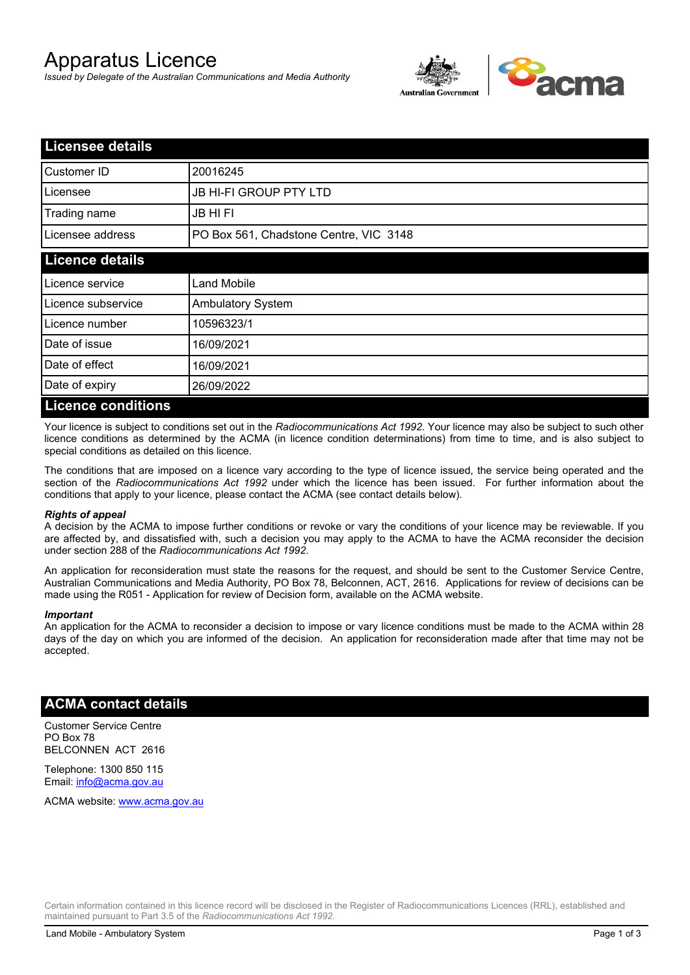# Apparatus Licence

*Issued by Delegate of the Australian Communications and Media Authority*



| <b>Licensee details</b>   |                                        |  |
|---------------------------|----------------------------------------|--|
| Customer ID               | 20016245                               |  |
| Licensee                  | <b>JB HI-FI GROUP PTY LTD</b>          |  |
| Trading name              | <b>JB HIFI</b>                         |  |
| Licensee address          | PO Box 561, Chadstone Centre, VIC 3148 |  |
| <b>Licence details</b>    |                                        |  |
| Licence service           | <b>Land Mobile</b>                     |  |
| Licence subservice        | <b>Ambulatory System</b>               |  |
| Licence number            | 10596323/1                             |  |
| Date of issue             | 16/09/2021                             |  |
| Date of effect            | 16/09/2021                             |  |
| Date of expiry            | 26/09/2022                             |  |
| <b>Licence conditions</b> |                                        |  |

Your licence is subject to conditions set out in the *Radiocommunications Act 1992*. Your licence may also be subject to such other licence conditions as determined by the ACMA (in licence condition determinations) from time to time, and is also subject to special conditions as detailed on this licence.

The conditions that are imposed on a licence vary according to the type of licence issued, the service being operated and the section of the *Radiocommunications Act 1992* under which the licence has been issued. For further information about the conditions that apply to your licence, please contact the ACMA (see contact details below).

#### *Rights of appeal*

A decision by the ACMA to impose further conditions or revoke or vary the conditions of your licence may be reviewable. If you are affected by, and dissatisfied with, such a decision you may apply to the ACMA to have the ACMA reconsider the decision under section 288 of the *Radiocommunications Act 1992*.

An application for reconsideration must state the reasons for the request, and should be sent to the Customer Service Centre, Australian Communications and Media Authority, PO Box 78, Belconnen, ACT, 2616. Applications for review of decisions can be made using the R051 - Application for review of Decision form, available on the ACMA website.

#### *Important*

An application for the ACMA to reconsider a decision to impose or vary licence conditions must be made to the ACMA within 28 days of the day on which you are informed of the decision. An application for reconsideration made after that time may not be accepted.

### **ACMA contact details**

Customer Service Centre PO Box 78 BELCONNEN ACT 2616

Telephone: 1300 850 115 Email: info@acma.gov.au

ACMA website: www.acma.gov.au

Certain information contained in this licence record will be disclosed in the Register of Radiocommunications Licences (RRL), established and maintained pursuant to Part 3.5 of the *Radiocommunications Act 1992.*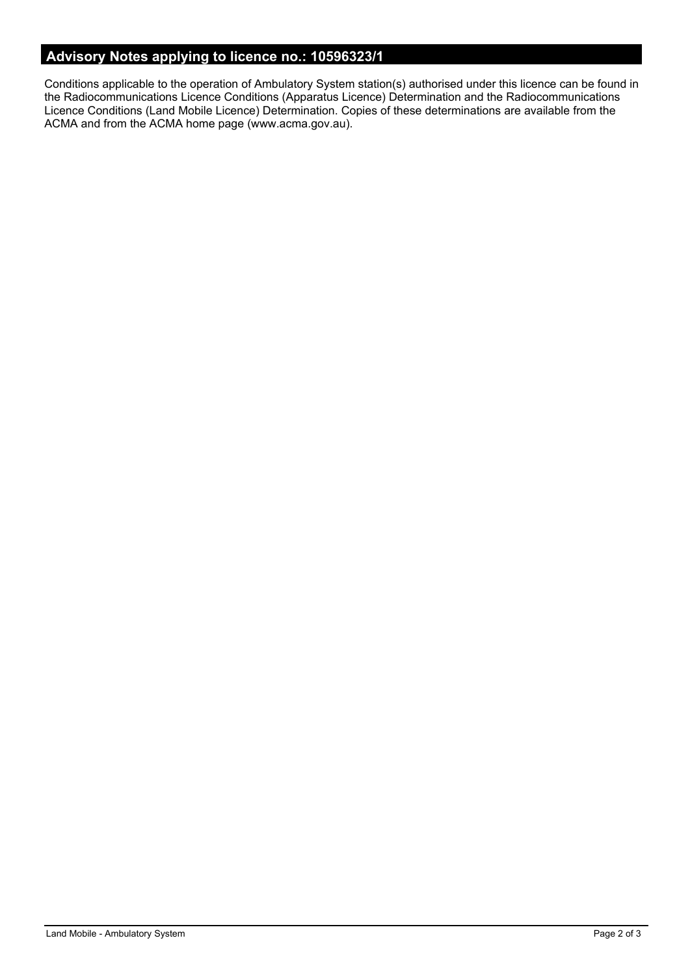# **Advisory Notes applying to licence no.: 10596323/1**

Conditions applicable to the operation of Ambulatory System station(s) authorised under this licence can be found in the Radiocommunications Licence Conditions (Apparatus Licence) Determination and the Radiocommunications Licence Conditions (Land Mobile Licence) Determination. Copies of these determinations are available from the ACMA and from the ACMA home page (www.acma.gov.au).